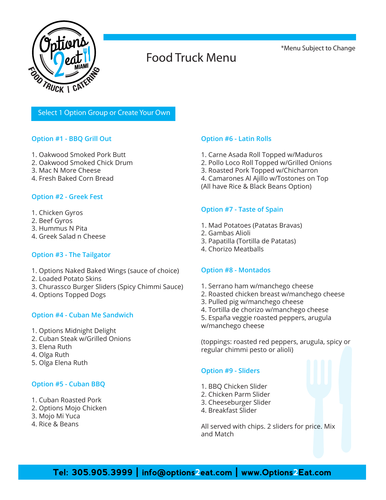

## Food Truck Menu

\*Menu Subject to Change

### Select 1 Option Group or Create Your Own

### **Option #1 - BBQ Grill Out**

- 1. Oakwood Smoked Pork Butt
- 2. Oakwood Smoked Chick Drum
- 3. Mac N More Cheese
- 4. Fresh Baked Corn Bread

### **Option #2 - Greek Fest**

- 1. Chicken Gyros
- 2. Beef Gyros
- 3. Hummus N Pita
- 4. Greek Salad n Cheese

### **Option #3 - The Tailgator**

- 1. Options Naked Baked Wings (sauce of choice)
- 2. Loaded Potato Skins
- 3. Churassco Burger Sliders (Spicy Chimmi Sauce)
- 4. Options Topped Dogs

### **Option #4 - Cuban Me Sandwich**

- 1. Options Midnight Delight
- 2. Cuban Steak w/Grilled Onions
- 3. Elena Ruth
- 4. Olga Ruth
- 5. Olga Elena Ruth

### **Option #5 - Cuban BBQ**

- 1. Cuban Roasted Pork
- 2. Options Mojo Chicken
- 3. Mojo Mi Yuca
- 4. Rice & Beans

### **Option #6 - Latin Rolls**

- 1. Carne Asada Roll Topped w/Maduros
- 2. Pollo Loco Roll Topped w/Grilled Onions
- 3. Roasted Pork Topped w/Chicharron
- 4. Camarones Al Ajillo w/Tostones on Top
- (All have Rice & Black Beans Option)

### **Option #7 - Taste of Spain**

- 1. Mad Potatoes (Patatas Bravas)
- 2. Gambas Alioli
- 3. Papatilla (Tortilla de Patatas)
- 4. Chorizo Meatballs

### **Option #8 - Montados**

- 1. Serrano ham w/manchego cheese
- 2. Roasted chicken breast w/manchego cheese
- 3. Pulled pig w/manchego cheese
- 4. Tortilla de chorizo w/manchego cheese
- 5. España veggie roasted peppers, arugula w/manchego cheese

(toppings: roasted red peppers, arugula, spicy or regular chimmi pesto or alioli)

### **Option #9 - Sliders**

- 1. BBQ Chicken Slider
- 2. Chicken Parm Slider
- 3. Cheeseburger Slider
- 4. Breakfast Slider

All served with chips. 2 sliders for price. Mix and Match